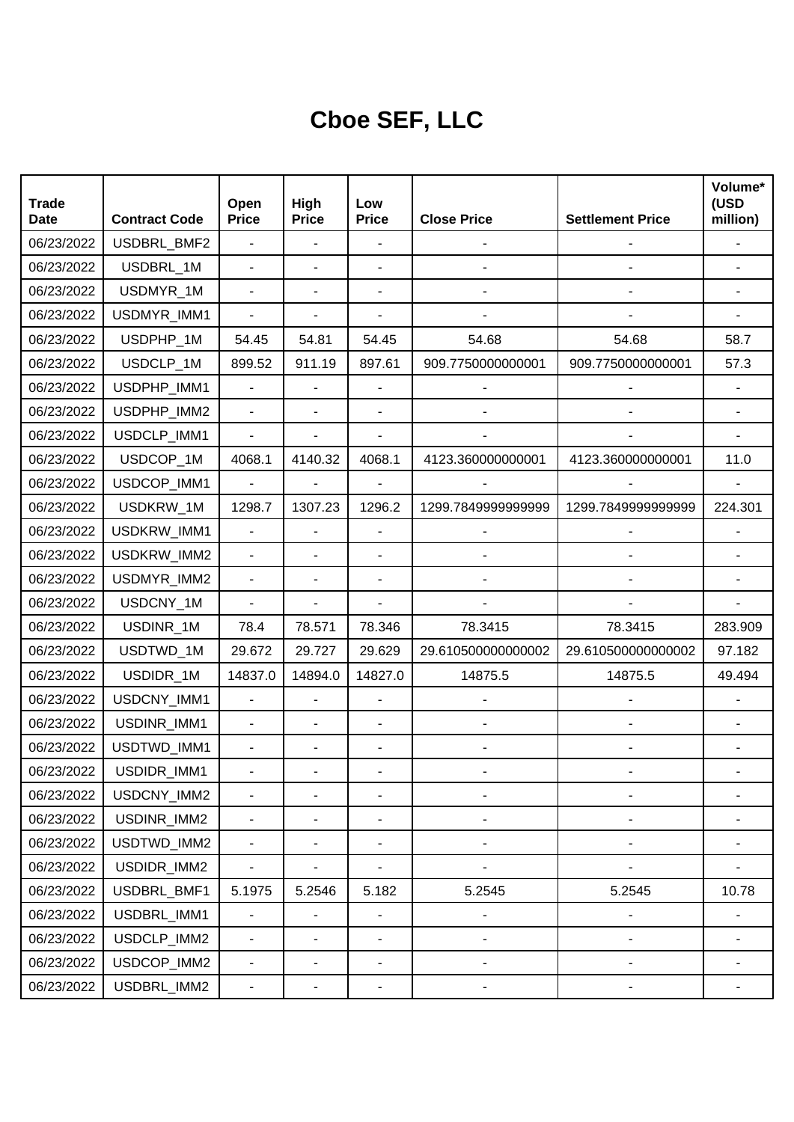## **Cboe SEF, LLC**

| <b>Trade</b><br><b>Date</b> | <b>Contract Code</b> | Open<br><b>Price</b>     | High<br><b>Price</b>     | Low<br><b>Price</b>          | <b>Close Price</b>           | <b>Settlement Price</b> | Volume*<br>(USD<br>million) |
|-----------------------------|----------------------|--------------------------|--------------------------|------------------------------|------------------------------|-------------------------|-----------------------------|
| 06/23/2022                  | USDBRL_BMF2          | $\blacksquare$           | $\overline{\phantom{a}}$ |                              |                              |                         |                             |
| 06/23/2022                  | USDBRL_1M            | $\blacksquare$           |                          | $\blacksquare$               |                              |                         |                             |
| 06/23/2022                  | USDMYR_1M            | $\blacksquare$           | ÷,                       |                              |                              |                         |                             |
| 06/23/2022                  | USDMYR_IMM1          | $\overline{\phantom{0}}$ |                          | $\blacksquare$               |                              |                         |                             |
| 06/23/2022                  | USDPHP_1M            | 54.45                    | 54.81                    | 54.45                        | 54.68                        | 54.68                   | 58.7                        |
| 06/23/2022                  | USDCLP 1M            | 899.52                   | 911.19                   | 897.61                       | 909.7750000000001            | 909.7750000000001       | 57.3                        |
| 06/23/2022                  | USDPHP_IMM1          | $\blacksquare$           |                          |                              |                              |                         |                             |
| 06/23/2022                  | USDPHP_IMM2          | $\blacksquare$           | ä,                       | $\blacksquare$               |                              |                         |                             |
| 06/23/2022                  | USDCLP_IMM1          | $\blacksquare$           |                          |                              |                              |                         |                             |
| 06/23/2022                  | USDCOP_1M            | 4068.1                   | 4140.32                  | 4068.1                       | 4123.360000000001            | 4123.360000000001       | 11.0                        |
| 06/23/2022                  | USDCOP_IMM1          | $\blacksquare$           |                          |                              |                              |                         |                             |
| 06/23/2022                  | USDKRW_1M            | 1298.7                   | 1307.23                  | 1296.2                       | 1299.7849999999999           | 1299.7849999999999      | 224.301                     |
| 06/23/2022                  | USDKRW_IMM1          | $\blacksquare$           | ÷,                       |                              |                              |                         |                             |
| 06/23/2022                  | USDKRW_IMM2          | $\overline{a}$           |                          | $\overline{\phantom{a}}$     |                              |                         |                             |
| 06/23/2022                  | USDMYR_IMM2          | $\overline{a}$           | ä,                       | $\blacksquare$               |                              |                         |                             |
| 06/23/2022                  | USDCNY_1M            | $\blacksquare$           |                          | $\blacksquare$               |                              |                         |                             |
| 06/23/2022                  | USDINR_1M            | 78.4                     | 78.571                   | 78.346                       | 78.3415                      | 78.3415                 | 283.909                     |
| 06/23/2022                  | USDTWD_1M            | 29.672                   | 29.727                   | 29.629                       | 29.610500000000002           | 29.610500000000002      | 97.182                      |
| 06/23/2022                  | USDIDR_1M            | 14837.0                  | 14894.0                  | 14827.0                      | 14875.5                      | 14875.5                 | 49.494                      |
| 06/23/2022                  | USDCNY_IMM1          | $\overline{\phantom{0}}$ | ÷,                       | $\overline{\phantom{a}}$     |                              |                         |                             |
| 06/23/2022                  | USDINR_IMM1          | $\overline{\phantom{a}}$ | ÷,                       |                              |                              |                         |                             |
| 06/23/2022                  | USDTWD_IMM1          | $\overline{\phantom{a}}$ | ÷,                       | $\overline{\phantom{a}}$     |                              |                         |                             |
| 06/23/2022                  | USDIDR_IMM1          |                          |                          |                              |                              |                         |                             |
| 06/23/2022                  | USDCNY_IMM2          |                          |                          |                              |                              |                         |                             |
| 06/23/2022                  | USDINR_IMM2          | $\frac{1}{2}$            | ٠                        | $\blacksquare$               | $\qquad \qquad \blacksquare$ |                         |                             |
| 06/23/2022                  | USDTWD_IMM2          | $\blacksquare$           | $\overline{\phantom{0}}$ | $\overline{\phantom{a}}$     | $\overline{\phantom{0}}$     | ۰                       |                             |
| 06/23/2022                  | USDIDR_IMM2          | $\blacksquare$           |                          | $\qquad \qquad \blacksquare$ | $\overline{\phantom{0}}$     |                         |                             |
| 06/23/2022                  | USDBRL_BMF1          | 5.1975                   | 5.2546                   | 5.182                        | 5.2545                       | 5.2545                  | 10.78                       |
| 06/23/2022                  | USDBRL_IMM1          | $\blacksquare$           | $\overline{a}$           | $\blacksquare$               | $\overline{\phantom{0}}$     |                         |                             |
| 06/23/2022                  | USDCLP_IMM2          | $\blacksquare$           | ÷,                       | $\overline{\phantom{a}}$     | $\overline{\phantom{0}}$     | ۰                       |                             |
| 06/23/2022                  | USDCOP_IMM2          | $\overline{\phantom{0}}$ | ٠                        | $\blacksquare$               | -                            | $\overline{a}$          |                             |
| 06/23/2022                  | USDBRL_IMM2          | $\overline{\phantom{a}}$ | ۰                        | -                            |                              |                         |                             |